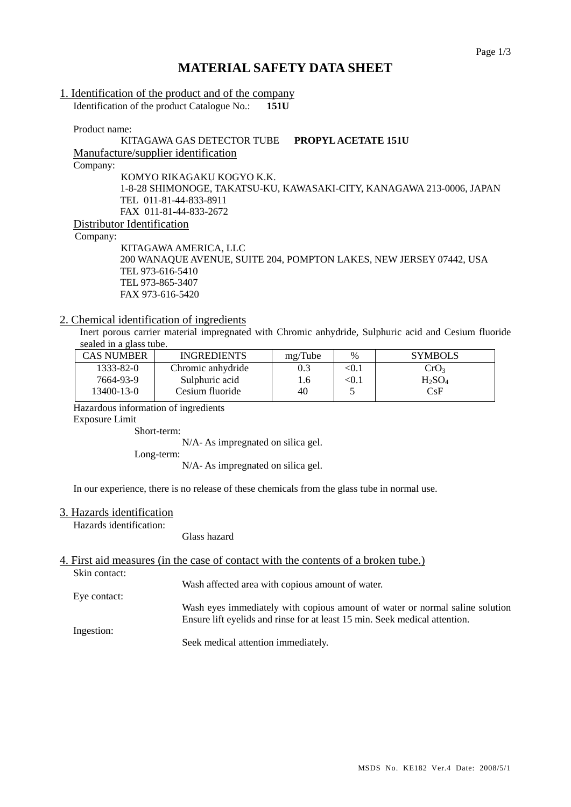## **MATERIAL SAFETY DATA SHEET**

## 1. Identification of the product and of the company

Identification of the product Catalogue No.: **151U**

Product name:

### KITAGAWA GAS DETECTOR TUBE **PROPYL ACETATE 151U**

Manufacture/supplier identification

Company:

KOMYO RIKAGAKU KOGYO K.K. 1-8-28 SHIMONOGE, TAKATSU-KU, KAWASAKI-CITY, KANAGAWA 213-0006, JAPAN TEL 011-81-44-833-8911 FAX 011-81-44-833-2672 Distributor Identification

Company:

KITAGAWA AMERICA, LLC 200 WANAQUE AVENUE, SUITE 204, POMPTON LAKES, NEW JERSEY 07442, USA TEL 973-616-5410 TEL 973-865-3407 FAX 973-616-5420

#### 2. Chemical identification of ingredients

Inert porous carrier material impregnated with Chromic anhydride, Sulphuric acid and Cesium fluoride sealed in a glass tube.

| <b>CAS NUMBER</b> | <b>INGREDIENTS</b> | mg/Tube | $\%$  | <b>SYMBOLS</b>   |
|-------------------|--------------------|---------|-------|------------------|
| 1333-82-0         | Chromic anhydride  | 0.3     | < 0.1 | CrO <sub>3</sub> |
| 7664-93-9         | Sulphuric acid     | 1.6     | < 0.1 | $H_2SO_4$        |
| 13400-13-0        | Cesium fluoride    | 40      |       | CsF              |

Hazardous information of ingredients

Exposure Limit

Short-term:

N/A- As impregnated on silica gel.

Long-term:

N/A- As impregnated on silica gel.

In our experience, there is no release of these chemicals from the glass tube in normal use.

#### 3. Hazards identification

Hazards identification:

Glass hazard

# 4. First aid measures (in the case of contact with the contents of a broken tube.)

Skin contact:

Wash affected area with copious amount of water.

Eye contact:

Wash eyes immediately with copious amount of water or normal saline solution Ensure lift eyelids and rinse for at least 15 min. Seek medical attention.

Ingestion:

Seek medical attention immediately.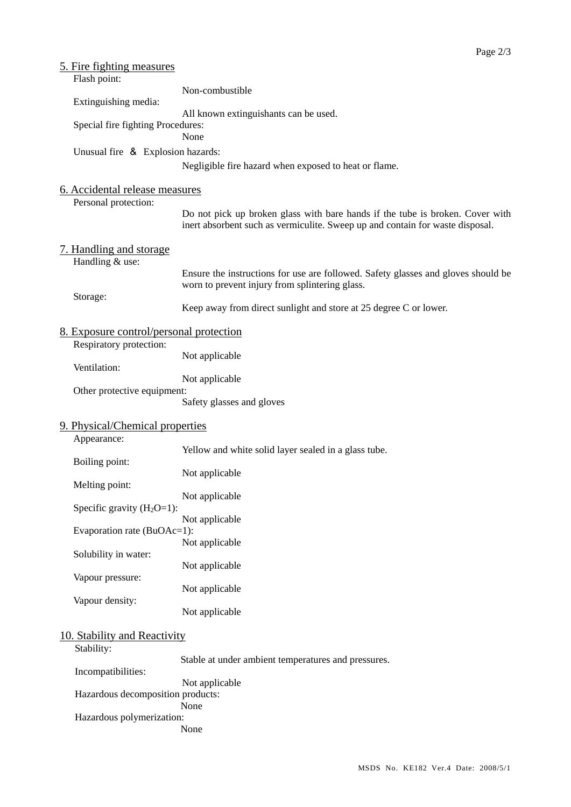| <u>5. Fire fighting measures</u><br>Flash point:       |                                                                                                                                                                |  |  |  |  |  |
|--------------------------------------------------------|----------------------------------------------------------------------------------------------------------------------------------------------------------------|--|--|--|--|--|
| Extinguishing media:                                   | Non-combustible                                                                                                                                                |  |  |  |  |  |
|                                                        | All known extinguishants can be used.                                                                                                                          |  |  |  |  |  |
| Special fire fighting Procedures:                      | None                                                                                                                                                           |  |  |  |  |  |
| Unusual fire & Explosion hazards:                      |                                                                                                                                                                |  |  |  |  |  |
|                                                        | Negligible fire hazard when exposed to heat or flame.                                                                                                          |  |  |  |  |  |
| 6. Accidental release measures<br>Personal protection: |                                                                                                                                                                |  |  |  |  |  |
|                                                        | Do not pick up broken glass with bare hands if the tube is broken. Cover with<br>inert absorbent such as vermiculite. Sweep up and contain for waste disposal. |  |  |  |  |  |
| 7. Handling and storage<br>Handling & use:             |                                                                                                                                                                |  |  |  |  |  |
|                                                        | Ensure the instructions for use are followed. Safety glasses and gloves should be<br>worn to prevent injury from splintering glass.                            |  |  |  |  |  |
| Storage:                                               | Keep away from direct sunlight and store at 25 degree C or lower.                                                                                              |  |  |  |  |  |
| 8. Exposure control/personal protection                |                                                                                                                                                                |  |  |  |  |  |
| Respiratory protection:                                | Not applicable                                                                                                                                                 |  |  |  |  |  |
| Ventilation:                                           | Not applicable                                                                                                                                                 |  |  |  |  |  |
| Other protective equipment:                            | Safety glasses and gloves                                                                                                                                      |  |  |  |  |  |
| 9. Physical/Chemical properties<br>Appearance:         |                                                                                                                                                                |  |  |  |  |  |
|                                                        | Yellow and white solid layer sealed in a glass tube.                                                                                                           |  |  |  |  |  |
| Boiling point:<br>Melting point:                       | Not applicable                                                                                                                                                 |  |  |  |  |  |
|                                                        | Not applicable                                                                                                                                                 |  |  |  |  |  |
| Specific gravity $(H_2O=1)$ :                          | Not applicable                                                                                                                                                 |  |  |  |  |  |
| Evaporation rate (BuOAc=1):                            |                                                                                                                                                                |  |  |  |  |  |
| Solubility in water:                                   | Not applicable                                                                                                                                                 |  |  |  |  |  |
| Vapour pressure:                                       | Not applicable                                                                                                                                                 |  |  |  |  |  |
| Vapour density:                                        | Not applicable                                                                                                                                                 |  |  |  |  |  |
|                                                        | Not applicable                                                                                                                                                 |  |  |  |  |  |
| 10. Stability and Reactivity<br>Stability:             |                                                                                                                                                                |  |  |  |  |  |
| Incompatibilities:                                     | Stable at under ambient temperatures and pressures.                                                                                                            |  |  |  |  |  |
| Hazardous decomposition products:                      | Not applicable                                                                                                                                                 |  |  |  |  |  |
| Hazardous polymerization:                              | None<br>None                                                                                                                                                   |  |  |  |  |  |